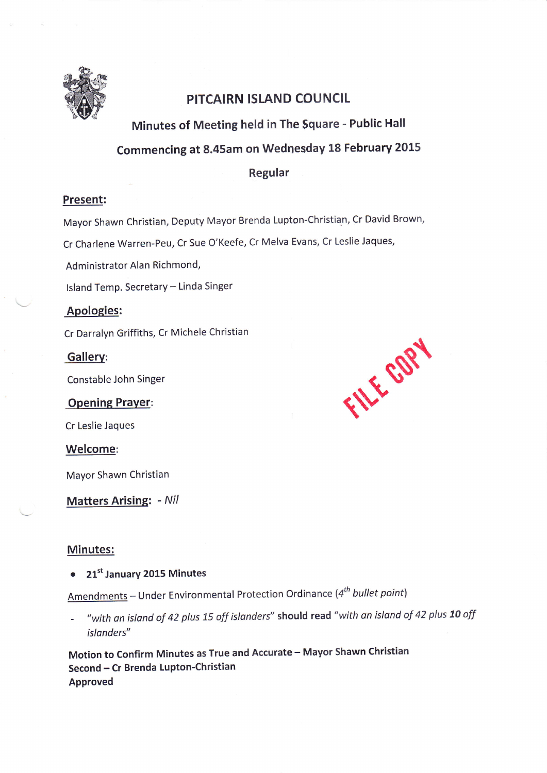

# PITCAIRN ISLAND COUNCIL

Minutes of Meeting held in The Square - Public Hall

# Commencing at 8.45am on Wednesday 18 February 2015

Regular

#### Present:

Mayor Shawn Christian, Deputy Mayor Brenda Lupton-Christian, Cr David Brown,

Cr Charlene Warren-Peu, Cr Sue O'Keefe, Cr Melva Evans, Cr Leslie Jaques,

Administrator Alan Richmond,

Island Temp. Secretary - Linda Singer

## Apologies:

Cr Darralyn Griffiths, Cr Michele Christian

Gallerv:

Constable John Singer

Opening Praver:

Cr Leslie Jaques

Welcome:

Mayor Shawn Christian

Matters Arising: - Nil

#### Minutes:

• 21<sup>st</sup> January 2015 Minutes

Amendments - Under Environmental Protection Ordinance ( $4^{th}$  bullet point)

"with an island of 42 plus 15 off islanders" should read "with an island of 42 plus 10 off islonders"

Motion to Confirm Minutes as True and Accurate - Mayor Shawn Christian Second - Cr Brenda Lupton-Christian Approved

FILE COPY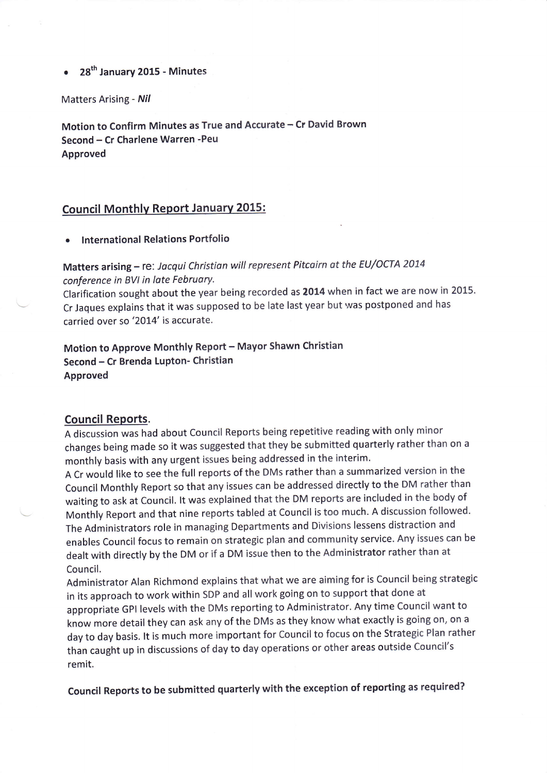#### 28<sup>th</sup> January 2015 - Minutes

Matters Arising - Nil

Motion to Confirm Minutes as True and Accurate - Cr David Brown Second - Cr Charlene Warren - Peu Approved

#### Council Monthlv Report Januarv 2015:

International Relations Portfolio

Matters arising - re: Jacqui Christian will represent Pitcairn at the EU/OCTA 2014 conference in BVI in late February.

Clarification sought about the year being recorded as 2014 when in fact we are now in 2015. Cr Jaques explains that it was supposed to be late last year but was postponed and has carried over so '2014' is accurate.

Motion to Approve Monthly Report - Mayor Shawn Christian Second - Cr Brenda Lupton- Christian Approved

#### Council Reports.

<sup>A</sup>discussion was had about Council Reports being repetitive reading with only minor changes being made so it was suggested that they be submitted quarterly rather than on <sup>a</sup> monthly basis with any urgent issues being addressed in the interim.

A Cr would like to see the full reports of the DMs rather than a summarized version in the Council Monthly Report so that any issues can be addressed directly to the DM rather than waiting to ask at Council. lt was explained that the DM reports are included in the body of Monthly Report and that nine reports tabled at Council is too much. A discussion followed' The Administrators role in managing Departments and Divisions lessens distraction and enables Council focus to remain on strategic plan and community service. Any issues can be dealt with directly by the DM or if a DM issue then to the Administrator rather than at Council.

Administrator Alan Richmond explains that what we are aiming for is Council being strategic in its approach to work within SDP and all work going on to support that done at appropriate GPI levels with the DMs reporting to Administrator. Any time Council want to know more detail they can ask any of the DMs as they know what exactly is going on, on <sup>a</sup> day to day basis. lt is much more important for Council to focus on the Strategic Plan rather than caught up in discussions of day to day operations or other areas outside Council's remit.

Council Reports to be submitted quarterly with the exception of reporting as required?